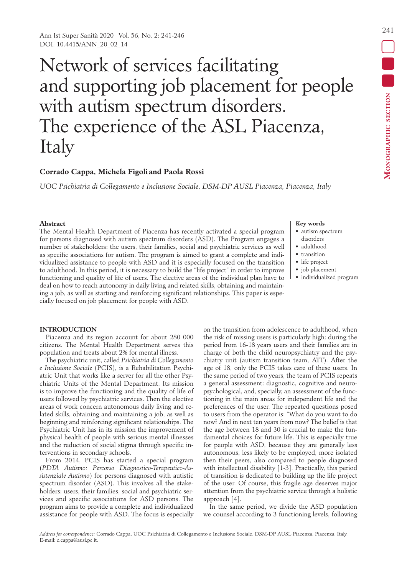# Network of services facilitating and supporting job placement for people with autism spectrum disorders. The experience of the ASL Piacenza, Italy

# **Corrado Cappa, Michela Figoli and Paola Rossi**

*UOC Psichiatria di Collegamento e Inclusione Sociale, DSM-DP AUSL Piacenza, Piacenza, Italy*

## **Abstract**

The Mental Health Department of Piacenza has recently activated a special program for persons diagnosed with autism spectrum disorders (ASD). The Program engages a number of stakeholders: the users, their families, social and psychiatric services as well as specific associations for autism. The program is aimed to grant a complete and individualized assistance to people with ASD and it is especially focused on the transition to adulthood. In this period, it is necessary to build the "life project" in order to improve functioning and quality of life of users. The elective areas of the individual plan have to deal on how to reach autonomy in daily living and related skills, obtaining and maintaining a job, as well as starting and reinforcing significant relationships. This paper is especially focused on job placement for people with ASD.

## **Key words**

- autism spectrum disorders
- adulthood
- transition
- life project
- job placement
- individualized program

## **INTRODUCTION**

Piacenza and its region account for about 280 000 citizens. The Mental Health Department serves this population and treats about 2% for mental illness.

The psychiatric unit, called *Psichiatria di Collegamento e Inclusione Sociale* (PCIS)*,* is a Rehabilitation Psychiatric Unit that works like a server for all the other Psychiatric Units of the Mental Department. Its mission is to improve the functioning and the quality of life of users followed by psychiatric services. Then the elective areas of work concern autonomous daily living and related skills, obtaining and maintaining a job, as well as beginning and reinforcing significant relationships. The Psychiatric Unit has in its mission the improvement of physical health of people with serious mental illnesses and the reduction of social stigma through specific interventions in secondary schools.

From 2014, PCIS has started a special program (*PDTA Autismo: Percorso Diagnostico-Terapeutico-Assistenziale Autismo*) for persons diagnosed with autistic spectrum disorder (ASD). This involves all the stakeholders: users, their families, social and psychiatric services and specific associations for ASD persons. The program aims to provide a complete and individualized assistance for people with ASD. The focus is especially

on the transition from adolescence to adulthood, when the risk of missing users is particularly high: during the period from 16-18 years users and their families are in charge of both the child neuropsychiatry and the psychiatry unit (autism transition team, ATT). After the age of 18, only the PCIS takes care of these users. In the same period of two years, the team of PCIS repeats a general assessment: diagnostic, cognitive and neuropsychological, and, specially, an assessment of the functioning in the main areas for independent life and the preferences of the user. The repeated questions posed to users from the operator is: "What do you want to do now? And in next ten years from now? The belief is that the age between 18 and 30 is crucial to make the fundamental choices for future life. This is especially true for people with ASD, because they are generally less autonomous, less likely to be employed, more isolated then their peers, also compared to people diagnosed with intellectual disability [1-3]. Practically, this period of transition is dedicated to building up the life project of the user. Of course, this fragile age deserves major attention from the psychiatric service through a holistic approach [4].

In the same period, we divide the ASD population we counsel according to 3 functioning levels, following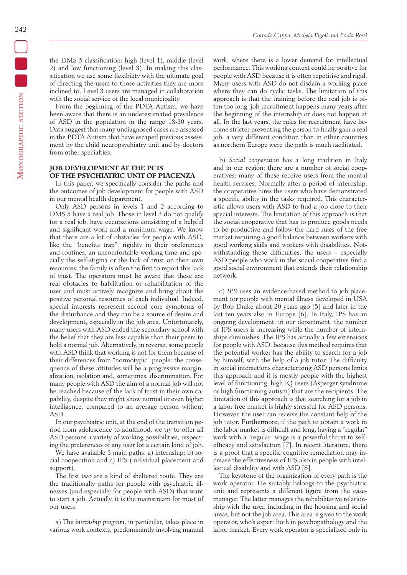the DMS 5 classification: high (level 1), middle (level 2) and low functioning (level 3). In making this classification we use some flexibility with the ultimate goal of directing the users to those activities they are more inclined to. Level 3 users are managed in collaboration with the social service of the local municipality.

From the beginning of the PDTA Autism, we have been aware that there is an underestimated prevalence of ASD in the population in the range 18-30 years. Data suggest that many undiagnosed cases are assessed in the PDTA Autism that have escaped previous assessment by the child neuropsychiatry unit and by doctors from other specialties.

# **JOB DEVELOPMENT AT THE PCIS OF THE PSYCHIATRIC UNIT OF PIACENZA**

In this paper, we specifically consider the paths and the outcomes of job development for people with ASD in our mental health department.

Only ASD persons in levels 1 and 2 according to DMS 5 have a real job. Those in level 3 do not qualify for a real job, have occupations consisting of a helpful and significant work and a minimum wage. We know that there are a lot of obstacles for people with ASD, like the "benefits trap", rigidity in their preferences and routines, an uncomfortable working time and specially the self-stigma or the lack of trust on their own resources: the family is often the first to report this lack of trust. The operators must be aware that these are real obstacles to habilitation or rehabilitation of the user and must actively recognize and bring about the positive personal resources of each individual. Indeed, special interests represent second core symptoms of the disturbance and they can be a source of desire and development, especially in the job area. Unfortunately, many users with ASD ended the secondary school with the belief that they are less capable than their peers to hold a normal job. Alternatively, in reverse, some people with ASD think that working is not for them because of their differences from "normotypic" people: the consequence of these attitudes will be a progressive marginalization, isolation and, sometimes, discrimination. For many people with ASD the aim of a normal job will not be reached because of the lack of trust in their own capability, despite they might show normal or even higher intelligence, compared to an average person without ASD.

In our psychiatric unit, at the end of the transition period from adolescence to adulthood, we try to offer all ASD persons a variety of working possibilities, respecting the preferences of any user for a certain kind of job.

We have available 3 main paths: a) internship; b) social cooperation and c) IPS (individual placement and support).

The first two are a kind of sheltered route. They are the traditionally paths for people with psychiatric illnesses (and especially for people with ASD) that want to start a job. Actually, it is the mainstream for most of our users.

a) The *internship program*, in particular, takes place in various work contexts, predominantly involving manual work, where there is a lower demand for intellectual performance. This working context could be positive for people with ASD because it is often repetitive and rigid. Many users with ASD do not disdain a working place where they can do cyclic tasks. The limitation of this approach is that the training before the real job is often too long: job recruitment happens many years after the beginning of the internship or does not happen at all. In the last years, the rules for recruitment have become stricter preventing the person to finally gain a real job, a very different condition than in other countries as northern Europe were the path is much facilitated.

b) *Social cooperation* has a long tradition in Italy and in our region; there are a number of social cooperatives: many of these receive users from the mental health services. Normally after a period of internship, the cooperative hires the users who have demonstrated a specific ability in the tasks required. This characteristic allows users with ASD to find a job close to their special interests. The limitation of this approach is that the social cooperative that has to produce goods needs to be productive and follow the hard rules of the free market requiring a good balance between workers with good working skills and workers with disabilities. Notwithstanding these difficulties, the users  $-$  especially ASD people who work in the social cooperative find a good social environment that extends their relationship network.

c) *IPS* uses an evidence-based method to job placement for people with mental illness developed in USA by Bob Drake about 20 years ago [5] and later in the last ten years also in Europe [6]. In Italy, IPS has an ongoing development: in our department, the number of IPS users is increasing while the number of internships diminishes. The IPS has actually a few extensions for people with ASD, because this method requires that the potential worker has the ability to search for a job by himself, with the help of a job tutor. The difficulty in social interactions characterizing ASD persons limits this approach and it is mostly people with the highest level of functioning, high IQ users (Asperger syndrome or high functioning autism) that are the recipients. The limitation of this approach is that searching for a job in a labor free market is highly stressful for ASD persons. However, the user can receive the constant help of the job tutor. Furthermore, if the path to obtain a work in the labor market is difficult and long, having a "regular" work with a "regular" wage is a powerful thrust to selfefficacy and satisfaction [7]. In recent literature, there is a proof that a specific cognitive remediation may increase the effectiveness of IPS also in people with intellectual disability and with ASD [8].

The keystone of the organization of every path is the work operator. He suitably belongs to the psychiatric unit and represents a different figure from the casemanager. The latter manages the rehabilitative relationship with the user, including in the housing and social areas, but not the job area. This area is given to the work operator, who's expert both in psychopathology and the labor market. Every work operator is specialized only in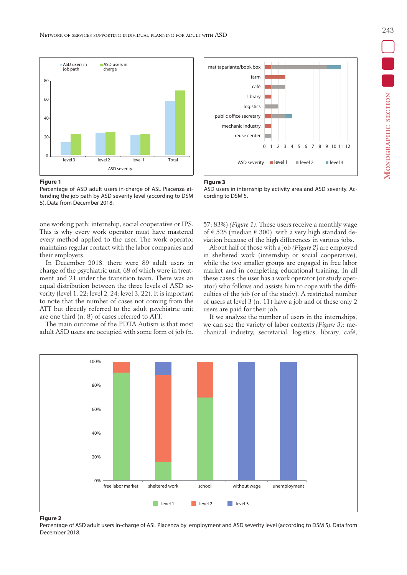

#### **Figure 1**

Percentage of ASD adult users in-charge of ASL Piacenza attending the job path by ASD severity level (according to DSM 5). Data from December 2018.

one working path: internship, social cooperative or IPS. This is why every work operator must have mastered every method applied to the user. The work operator maintains regular contact with the labor companies and their employers.

In December 2018, there were 89 adult users in charge of the psychiatric unit, 68 of which were in treatment and 21 under the transition team. There was an equal distribution between the three levels of ASD severity (level 1, 22; level 2, 24; level 3, 22). It is important to note that the number of cases not coming from the ATT but directly referred to the adult psychiatric unit are one third (n. 8) of cases referred to ATT.

The main outcome of the PDTA Autism is that most adult ASD users are occupied with some form of job (n.



#### **Figure 3**

ASD users in internship by activity area and ASD severity. According to DSM 5.

57; 83%) *(Figure 1)*. These users receive a monthly wage of € 528 (median € 300), with a very high standard deviation because of the high differences in various jobs.

About half of those with a job *(Figure 2)* are employed in sheltered work (internship or social cooperative), while the two smaller groups are engaged in free labor market and in completing educational training. In all these cases, the user has a work operator (or study operator) who follows and assists him to cope with the difficulties of the job (or of the study). A restricted number of users at level 3 (n. 11) have a job and of these only 2 users are paid for their job.

If we analyze the number of users in the internships, we can see the variety of labor contexts *(Figure 3)*: mechanical industry, secretarial, logistics, library, café,



## **Figure 2**

Percentage of ASD adult users in-charge of ASL Piacenza by employment and ASD severity level (according to DSM 5). Data from December 2018.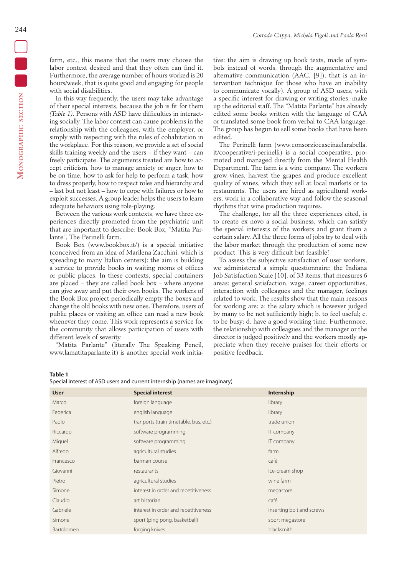In this way frequently, the users may take advantage of their special interests, because the job is fit for them *(Table 1)*. Persons with ASD have difficulties in interacting socially. The labor context can cause problems in the relationship with the colleagues, with the employer, or simply with respecting with the rules of cohabitation in the workplace. For this reason, we provide a set of social skills training weekly and the users – if they want – can freely participate. The arguments treated are how to accept criticism, how to manage anxiety or anger, how to be on time, how to ask for help to perform a task, how to dress properly, how to respect roles and hierarchy and – last but not least – how to cope with failures or how to exploit successes. A group leader helps the users to learn adequate behaviors using role-playing.

Between the various work contexts, we have three experiences directly promoted from the psychiatric unit that are important to describe: Book Box, "Matita Parlante", The Perinelli farm.

Book Box (www.bookbox.it/) is a special initiative (conceived from an idea of Marilena Zacchini, which is spreading to many Italian centers): the aim is building a service to provide books in waiting rooms of offices or public places. In these contexts, special containers are placed – they are called book box – where anyone can give away and put their own books. The workers of the Book Box project periodically empty the boxes and change the old books with new ones. Therefore, users of public places or visiting an office can read a new book whenever they come. This work represents a service for the community that allows participation of users with different levels of severity.

"Matita Parlante" (literally The Speaking Pencil, www.lamatitaparlante.it) is another special work initiative: the aim is drawing up book texts, made of symbols instead of words, through the augmentative and alternative communication (AAC, [9]), that is an intervention technique for those who have an inability to communicate vocally). A group of ASD users, with a specific interest for drawing or writing stories, make up the editorial staff. The "Matita Parlante" has already edited some books written with the language of CAA or translated some book from verbal to CAA language. The group has begun to sell some books that have been edited.

The Perinelli farm (www.consorziocascinaclarabella. it/cooperative/i-perinelli) is a social cooperative, promoted and managed directly from the Mental Health Department. The farm is a wine company. The workers grow vines, harvest the grapes and produce excellent quality of wines, which they sell at local markets or to restaurants. The users are hired as agricultural workers, work in a collaborative way and follow the seasonal rhythms that wine production requires.

The challenge, for all the three experiences cited, is to create ex novo a social business, which can satisfy the special interests of the workers and grant them a certain salary. All the three forms of jobs try to deal with the labor market through the production of some new product. This is very difficult but feasible!

To assess the subjective satisfaction of user workers, we administered a simple questionnaire: the Indiana Job Satisfaction Scale [10], of 33 items, that measures 6 areas: general satisfaction, wage, career opportunities, interaction with colleagues and the manager, feelings related to work. The results show that the main reasons for working are: a: the salary which is however judged by many to be not sufficiently high; b. to feel useful; c. to be busy; d. have a good working time. Furthermore, the relationship with colleagues and the manager or the director is judged positively and the workers mostly appreciate when they receive praises for their efforts or positive feedback.

**Table 1**

| <b>User</b> | <b>Special interest</b>                | Internship                |
|-------------|----------------------------------------|---------------------------|
| Marco       | foreign language                       | library                   |
| Federica    | english language                       | library                   |
| Paolo       | tranports (train timetable, bus, etc.) | trade union               |
| Riccardo    | software programming                   | IT company                |
| Miguel      | software programming                   | IT company                |
| Alfredo     | agricultural studies                   | farm                      |
| Francesco   | barman course                          | café                      |
| Giovanni    | restaurants                            | ice-cream shop            |
| Pietro      | agricultural studies                   | wine farm                 |
| Simone      | interest in order and repetitiveness   | megastore                 |
| Claudio     | art historian                          | café                      |
| Gabriele    | interest in order and repetitiveness   | inserting bolt and screws |
| Simone      | sport (ping pong, basketball)          | sport megastore           |
| Bartolomeo  | forging knives                         | blacksmith                |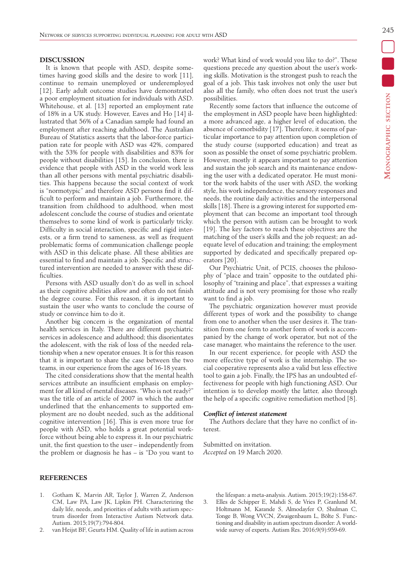245

## **DISCUSSION**

It is known that people with ASD, despite sometimes having good skills and the desire to work [11], continue to remain unemployed or underemployed [12]. Early adult outcome studies have demonstrated a poor employment situation for individuals with ASD. Whitehouse, et al. [13] reported an employment rate of 18% in a UK study. However, Eaves and Ho [14] illustrated that 56% of a Canadian sample had found an employment after reaching adulthood. The Australian Bureau of Statistics asserts that the labor-force participation rate for people with ASD was 42%, compared with the 53% for people with disabilities and 83% for people without disabilities [15]. In conclusion, there is evidence that people with ASD in the world work less than all other persons with mental psychiatric disabilities. This happens because the social context of work is "normotypic" and therefore ASD persons find it difficult to perform and maintain a job. Furthermore, the transition from childhood to adulthood, when most adolescent conclude the course of studies and orientate themselves to some kind of work is particularly tricky. Difficulty in social interaction, specific and rigid interests, or a firm trend to sameness, as well as frequent problematic forms of communication challenge people with ASD in this delicate phase. All these abilities are essential to find and maintain a job. Specific and structured intervention are needed to answer with these dif ficulties.

Persons with ASD usually don't do as well in school as their cognitive abilities allow and often do not finish the degree course. For this reason, it is important to sustain the user who wants to conclude the course of study or convince him to do it.

Another big concern is the organization of mental health services in Italy. There are different psychiatric services in adolescence and adulthood; this disorientates the adolescent, with the risk of loss of the needed relationship when a new operator ensues. It is for this reason that it is important to share the case between the two teams, in our experience from the ages of 16-18 years.

The cited considerations show that the mental health services attribute an insufficient emphasis on employment for all kind of mental diseases. "Who is not ready?" was the title of an article of 2007 in which the author underlined that the enhancements to supported employment are no doubt needed, such as the additional cognitive intervention [16]. This is even more true for people with ASD, who holds a great potential workforce without being able to express it. In our psychiatric unit, the first question to the user – independently from the problem or diagnosis he has – is "Do you want to

# **REFERENCES**

- 1. Gotham K, Marvin AR, Taylor J, Warren Z, Anderson CM, Law PA, Law JK, Lipkin PH. Characterizing the daily life, needs, and priorities of adults with autism spectrum disorder from Interactive Autism Network data. Autism. 2015;19(7):794-804.
- 2. van Heijst BF, Geurts HM. Quality of life in autism across

work? What kind of work would you like to do?". These questions precede any question about the user's working skills. Motivation is the strongest push to reach the goal of a job. This task involves not only the user but also all the family, who often does not trust the user's possibilities.

Recently some factors that influence the outcome of the employment in ASD people have been highlighted: a more advanced age, a higher level of education, the absence of comorbidity [17]. Therefore, it seems of particular importance to pay attention upon completion of the study course (supported education) and treat as soon as possible the onset of some psychiatric problem. However, mostly it appears important to pay attention and sustain the job search and its maintenance endowing the user with a dedicated operator. He must monitor the work habits of the user with ASD, the working style, his work independence, the sensory responses and needs, the routine daily activities and the interpersonal skills [18]. There is a growing interest for supported employment that can become an important tool through which the person with autism can be brought to work [19]. The key factors to reach these objectives are the matching of the user's skills and the job request; an adequate level of education and training; the employment supported by dedicated and specifically prepared operators [20].

Our Psychiatric Unit, of PCIS, chooses the philosophy of "place and train" opposite to the outdated philosophy of "training and place", that expresses a waiting attitude and is not very promising for those who really want to find a job.

The psychiatric organization however must provide different types of work and the possibility to change from one to another when the user desires it. The transition from one form to another form of work is accompanied by the change of work operator, but not of the case manager, who maintains the reference to the user.

In our recent experience, for people with ASD the more effective type of work is the internship. The social cooperative represents also a valid but less effective tool to gain a job. Finally, the IPS has an undoubted effectiveness for people with high functioning ASD. Our intention is to develop mostly the latter, also through the help of a specific cognitive remediation method  $[8]$ .

## *Con!ict of interest statement*

The Authors declare that they have no conflict of interest.

Submitted on invitation. *Accepted* on 19 March 2020.

the lifespan: a meta-analysis. Autism. 2015;19(2):158-67. 3. Elles de Schipper E, Mahdi S, de Vries P, Granlund M, Holtmann M, Karande S, Almodayfer O, Shulman C, Tonge B, Wong VVCN, Zwaigenbaum L, Bölte S. Functioning and disability in autism spectrum disorder: A worldwide survey of experts. Autism Res. 2016;9(9):959-69.